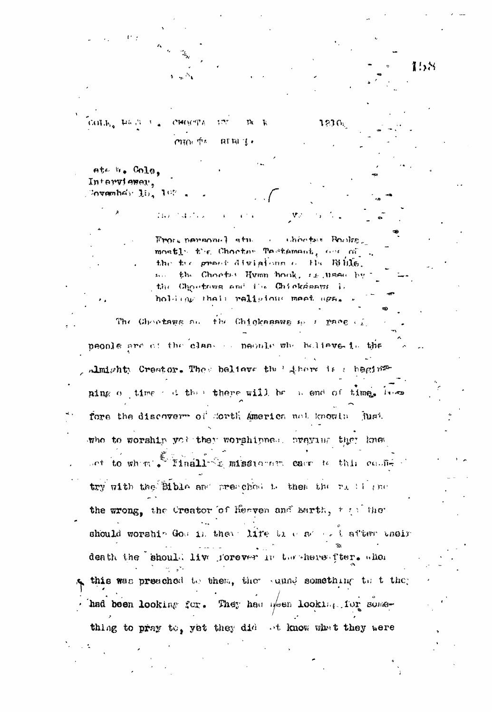158  $\text{GGL}_{\text{loc}}(\mathbb{W}^n, \mathcal{H}^n)$ **CHOOTA** 1236. CHOI The  $RTRI/f$ ate h. Cole. Interviewer, Forward below  $30<sub>9</sub>$   $30<sub>10</sub>$ Frore normannel atm thootest Reales  $\sim 10^{11}$  km  $^{-1}$ mostly the Chooter Testemant, are of ... the tre grant divisions of the Bills. so the Choots: Hymn hook, is used by the Choetees and the Chieksenus is holding thair raligious meet aga. The Chootage as the Chickagaws as a pace of peonle are of the class of peonle who holiave is the Amighty Creator. They believe the Liberalis a heging ning of time of the there will be a end of time. Inco fore the discovery of Morth America not knowly just who to worship you they worshipped. oveying they knew set to when I linell- I missioner care to this costitry with the Bible and preschool is then the right inc the wrong, the Creator of Heaven and Barth, the the should worship God in them. life the expect after their death the should live forever in the here fter. when this was preached to them, the sunnd something to t they had been looking for. They had been looking for something to pray to, yet they did of know what they were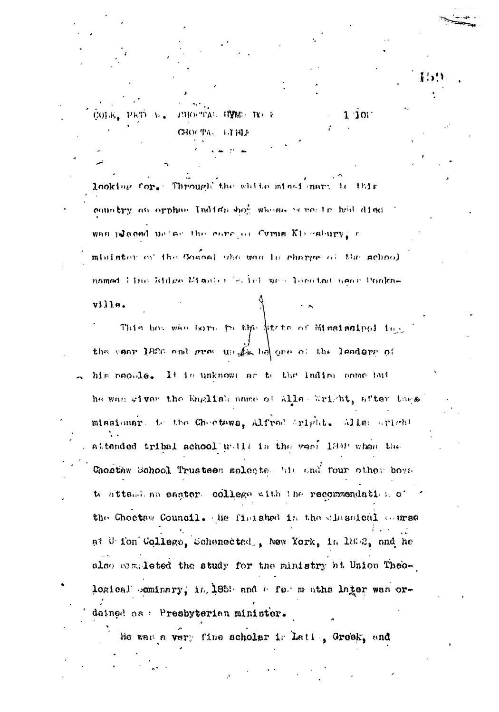looking for. Through the white mines mary to this country an orphan Indian boy whena meets had died was placed unless the care of Cymin Kinesbury, r minister of the Goanal who was is charge of the school named line Eddes Manier (m.1c) was located near Ponka $v111e.$ 

THOUTAL HYME BEEN

 $1.711$ 

**CHOC TAL** 

 $1.101$ 

COLE. PET W.

This boy who home to the strip of Mississippi in. the case 1820 and great un fix he one of the leadors of his people. It is unknown as to the lading name but he was given the English name of Alle Wright, after these missionar, to the Choctawa, Alfred Sright. Alle sright attended tribal school will in the vent last when the Chostaw School Trustees solects. his and four other boys te atteal an easter college with the recommendation of the Choctaw Council. He finished in the classical carse at U fon College, Schenected, New York, in 1852, and he also completed the study for the ministry ht Union Theological seminary; in 1858 and a fear maths later was ordained as : Presbyterian minister.

He was a very fine scholar is Lating Groek, and